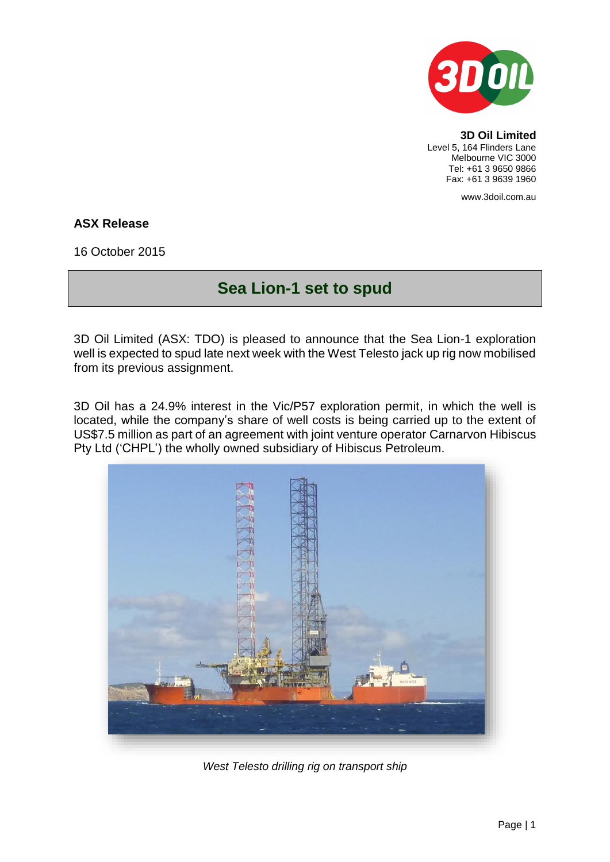

**3D Oil Limited** Level 5, 164 Flinders Lane Melbourne VIC 3000 Tel: +61 3 9650 9866 Fax: +61 3 9639 1960

www.3doil.com.au

## **ASX Release**

16 October 2015

## **Sea Lion-1 set to spud**

3D Oil Limited (ASX: TDO) is pleased to announce that the Sea Lion-1 exploration well is expected to spud late next week with the West Telesto jack up rig now mobilised from its previous assignment.

3D Oil has a 24.9% interest in the Vic/P57 exploration permit, in which the well is located, while the company's share of well costs is being carried up to the extent of US\$7.5 million as part of an agreement with joint venture operator Carnarvon Hibiscus Pty Ltd ('CHPL') the wholly owned subsidiary of Hibiscus Petroleum.



*West Telesto drilling rig on transport ship*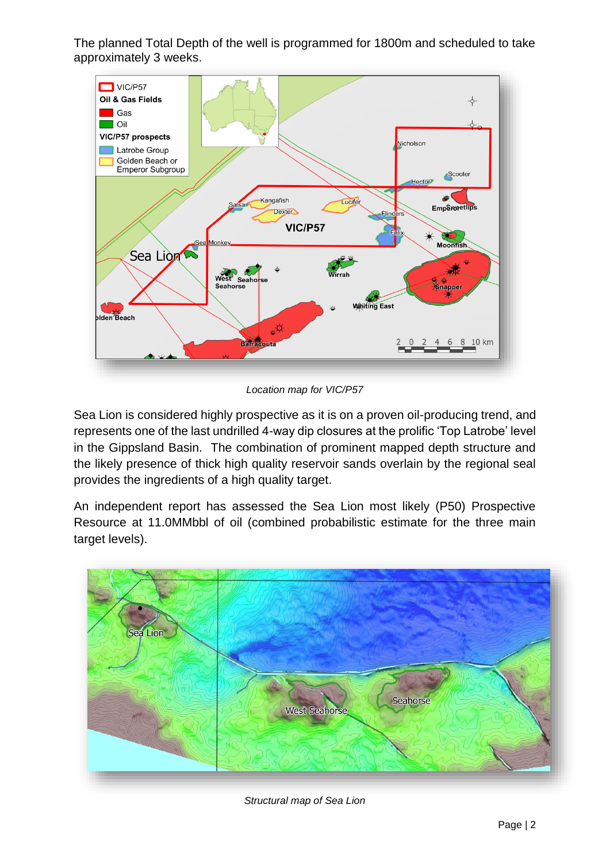The planned Total Depth of the well is programmed for 1800m and scheduled to take approximately 3 weeks.



*Location map for VIC/P57*

Sea Lion is considered highly prospective as it is on a proven oil-producing trend, and represents one of the last undrilled 4-way dip closures at the prolific 'Top Latrobe' level in the Gippsland Basin. The combination of prominent mapped depth structure and the likely presence of thick high quality reservoir sands overlain by the regional seal provides the ingredients of a high quality target.

An independent report has assessed the Sea Lion most likely (P50) Prospective Resource at 11.0MMbbl of oil (combined probabilistic estimate for the three main target levels).



*Structural map of Sea Lion*